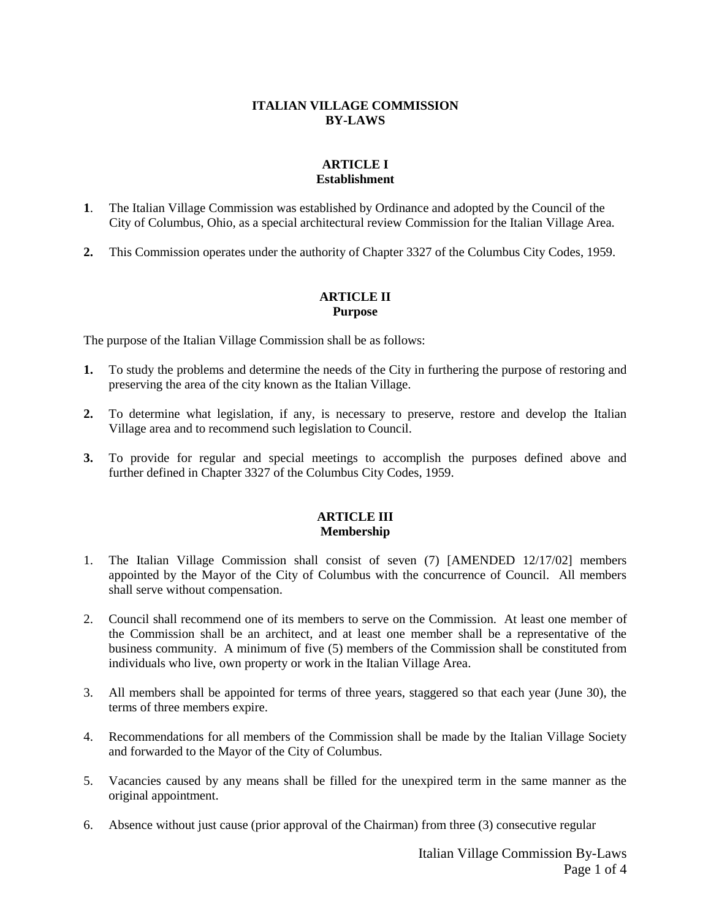#### **ITALIAN VILLAGE COMMISSION BY-LAWS**

### **ARTICLE I Establishment**

- **1**. The Italian Village Commission was established by Ordinance and adopted by the Council of the City of Columbus, Ohio, as a special architectural review Commission for the Italian Village Area.
- **2.** This Commission operates under the authority of Chapter 3327 of the Columbus City Codes, 1959.

### **ARTICLE II Purpose**

The purpose of the Italian Village Commission shall be as follows:

- **1.** To study the problems and determine the needs of the City in furthering the purpose of restoring and preserving the area of the city known as the Italian Village.
- **2.** To determine what legislation, if any, is necessary to preserve, restore and develop the Italian Village area and to recommend such legislation to Council.
- **3.** To provide for regular and special meetings to accomplish the purposes defined above and further defined in Chapter 3327 of the Columbus City Codes, 1959.

#### **ARTICLE III Membership**

- 1. The Italian Village Commission shall consist of seven (7) [AMENDED 12/17/02] members appointed by the Mayor of the City of Columbus with the concurrence of Council. All members shall serve without compensation.
- 2. Council shall recommend one of its members to serve on the Commission. At least one member of the Commission shall be an architect, and at least one member shall be a representative of the business community. A minimum of five (5) members of the Commission shall be constituted from individuals who live, own property or work in the Italian Village Area.
- 3. All members shall be appointed for terms of three years, staggered so that each year (June 30), the terms of three members expire.
- 4. Recommendations for all members of the Commission shall be made by the Italian Village Society and forwarded to the Mayor of the City of Columbus.
- 5. Vacancies caused by any means shall be filled for the unexpired term in the same manner as the original appointment.
- 6. Absence without just cause (prior approval of the Chairman) from three (3) consecutive regular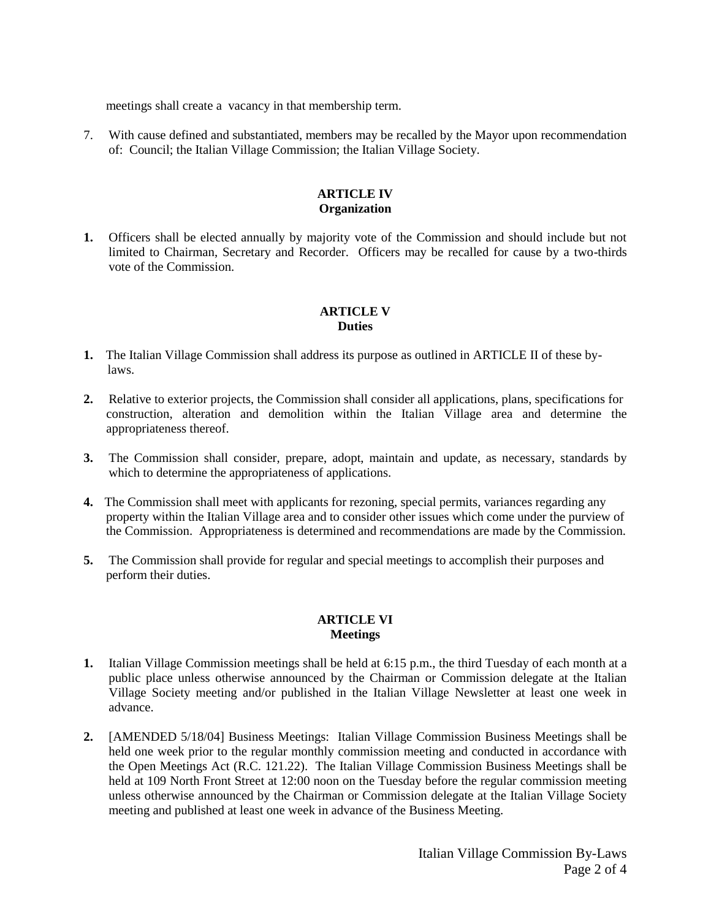meetings shall create a vacancy in that membership term.

7. With cause defined and substantiated, members may be recalled by the Mayor upon recommendation of: Council; the Italian Village Commission; the Italian Village Society.

#### **ARTICLE IV Organization**

**1.** Officers shall be elected annually by majority vote of the Commission and should include but not limited to Chairman, Secretary and Recorder. Officers may be recalled for cause by a two-thirds vote of the Commission.

#### **ARTICLE V Duties**

- **1.** The Italian Village Commission shall address its purpose as outlined in ARTICLE II of these bylaws.
- **2.** Relative to exterior projects, the Commission shall consider all applications, plans, specifications for construction, alteration and demolition within the Italian Village area and determine the appropriateness thereof.
- **3.** The Commission shall consider, prepare, adopt, maintain and update, as necessary, standards by which to determine the appropriateness of applications.
- **4.** The Commission shall meet with applicants for rezoning, special permits, variances regarding any property within the Italian Village area and to consider other issues which come under the purview of the Commission. Appropriateness is determined and recommendations are made by the Commission.
- **5.** The Commission shall provide for regular and special meetings to accomplish their purposes and perform their duties.

#### **ARTICLE VI Meetings**

- **1.** Italian Village Commission meetings shall be held at 6:15 p.m., the third Tuesday of each month at a public place unless otherwise announced by the Chairman or Commission delegate at the Italian Village Society meeting and/or published in the Italian Village Newsletter at least one week in advance.
- **2.** [AMENDED 5/18/04] Business Meetings: Italian Village Commission Business Meetings shall be held one week prior to the regular monthly commission meeting and conducted in accordance with the Open Meetings Act (R.C. 121.22). The Italian Village Commission Business Meetings shall be held at 109 North Front Street at 12:00 noon on the Tuesday before the regular commission meeting unless otherwise announced by the Chairman or Commission delegate at the Italian Village Society meeting and published at least one week in advance of the Business Meeting.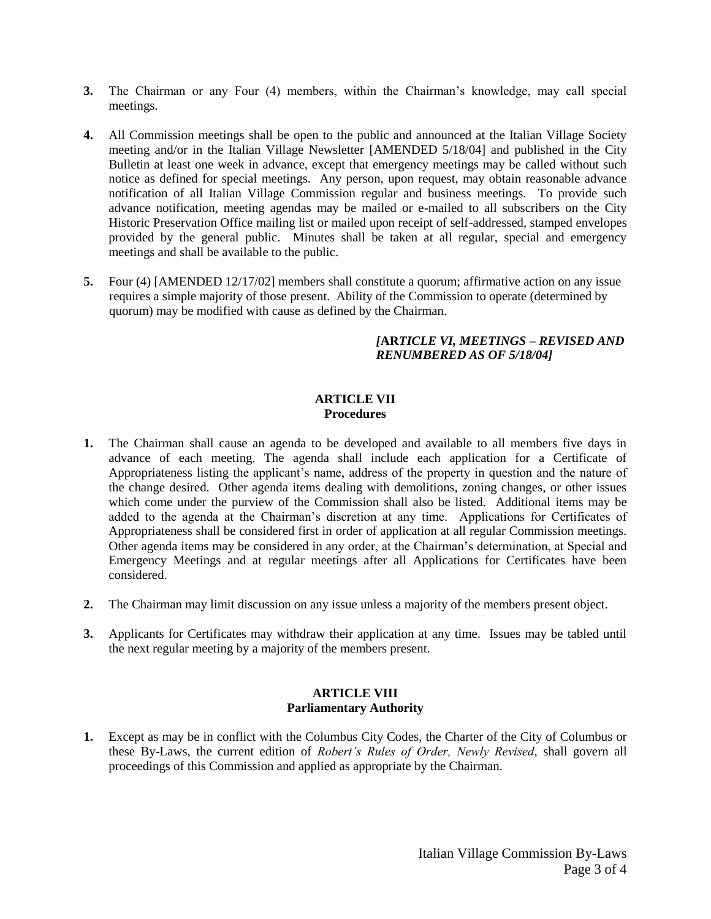- **3.** The Chairman or any Four (4) members, within the Chairman's knowledge, may call special meetings.
- **4.** All Commission meetings shall be open to the public and announced at the Italian Village Society meeting and/or in the Italian Village Newsletter [AMENDED 5/18/04] and published in the City Bulletin at least one week in advance, except that emergency meetings may be called without such notice as defined for special meetings. Any person, upon request, may obtain reasonable advance notification of all Italian Village Commission regular and business meetings. To provide such advance notification, meeting agendas may be mailed or e-mailed to all subscribers on the City Historic Preservation Office mailing list or mailed upon receipt of self-addressed, stamped envelopes provided by the general public. Minutes shall be taken at all regular, special and emergency meetings and shall be available to the public.
- **5.** Four (4) [AMENDED 12/17/02] members shall constitute a quorum; affirmative action on any issue requires a simple majority of those present. Ability of the Commission to operate (determined by quorum) may be modified with cause as defined by the Chairman.

### *[***AR***TICLE VI, MEETINGS – REVISED AND RENUMBERED AS OF 5/18/04]*

### **ARTICLE VII Procedures**

- **1.** The Chairman shall cause an agenda to be developed and available to all members five days in advance of each meeting. The agenda shall include each application for a Certificate of Appropriateness listing the applicant's name, address of the property in question and the nature of the change desired. Other agenda items dealing with demolitions, zoning changes, or other issues which come under the purview of the Commission shall also be listed. Additional items may be added to the agenda at the Chairman's discretion at any time. Applications for Certificates of Appropriateness shall be considered first in order of application at all regular Commission meetings. Other agenda items may be considered in any order, at the Chairman's determination, at Special and Emergency Meetings and at regular meetings after all Applications for Certificates have been considered.
- **2.** The Chairman may limit discussion on any issue unless a majority of the members present object.
- **3.** Applicants for Certificates may withdraw their application at any time. Issues may be tabled until the next regular meeting by a majority of the members present.

## **ARTICLE VIII Parliamentary Authority**

**1.** Except as may be in conflict with the Columbus City Codes, the Charter of the City of Columbus or these By-Laws, the current edition of *Robert's Rules of Order, Newly Revised*, shall govern all proceedings of this Commission and applied as appropriate by the Chairman.